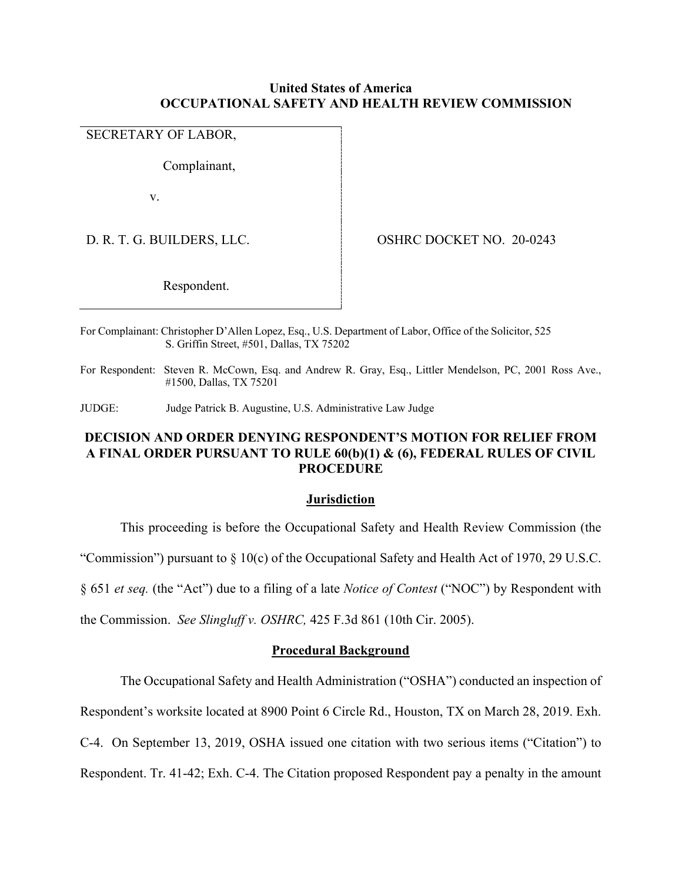## **United States of America OCCUPATIONAL SAFETY AND HEALTH REVIEW COMMISSION**

# SECRETARY OF LABOR,

Complainant,

v.

D. R. T. G. BUILDERS, LLC. OSHRC DOCKET NO. 20-0243

Respondent.

For Complainant: Christopher D'Allen Lopez, Esq., U.S. Department of Labor, Office of the Solicitor, 525 S. Griffin Street, #501, Dallas, TX 75202

For Respondent: Steven R. McCown, Esq. and Andrew R. Gray, Esq., Littler Mendelson, PC, 2001 Ross Ave., #1500, Dallas, TX 75201

JUDGE: Judge Patrick B. Augustine, U.S. Administrative Law Judge

# **DECISION AND ORDER DENYING RESPONDENT'S MOTION FOR RELIEF FROM A FINAL ORDER PURSUANT TO RULE 60(b)(1) & (6), FEDERAL RULES OF CIVIL PROCEDURE**

#### **Jurisdiction**

This proceeding is before the Occupational Safety and Health Review Commission (the

"Commission") pursuant to § 10(c) of the Occupational Safety and Health Act of 1970, 29 U.S.C.

§ 651 *et seq.* (the "Act") due to a filing of a late *Notice of Contest* ("NOC") by Respondent with

the Commission. *See Slingluff v. OSHRC,* 425 F.3d 861 (10th Cir. 2005).

### **Procedural Background**

The Occupational Safety and Health Administration ("OSHA") conducted an inspection of

Respondent's worksite located at 8900 Point 6 Circle Rd., Houston, TX on March 28, 2019. Exh.

C-4. On September 13, 2019, OSHA issued one citation with two serious items ("Citation") to

Respondent. Tr. 41-42; Exh. C-4. The Citation proposed Respondent pay a penalty in the amount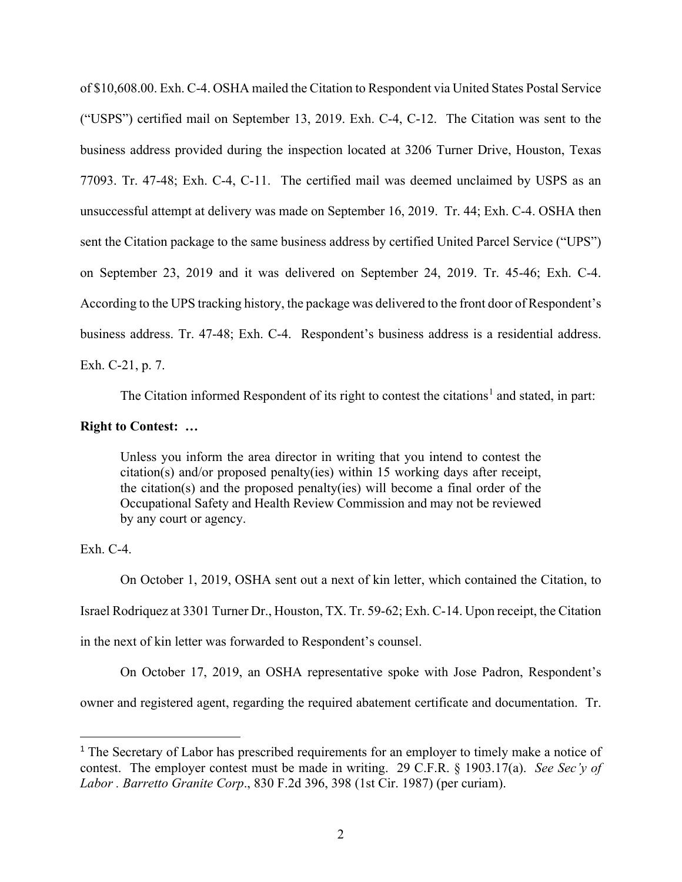of \$10,608.00. Exh. C-4. OSHA mailed the Citation to Respondent via United States Postal Service ("USPS") certified mail on September 13, 2019. Exh. C-4, C-12. The Citation was sent to the business address provided during the inspection located at 3206 Turner Drive, Houston, Texas 77093. Tr. 47-48; Exh. C-4, C-11. The certified mail was deemed unclaimed by USPS as an unsuccessful attempt at delivery was made on September 16, 2019. Tr. 44; Exh. C-4. OSHA then sent the Citation package to the same business address by certified United Parcel Service ("UPS") on September 23, 2019 and it was delivered on September 24, 2019. Tr. 45-46; Exh. C-4. According to the UPS tracking history, the package was delivered to the front door of Respondent's business address. Tr. 47-48; Exh. C-4. Respondent's business address is a residential address. Exh. C-21, p. 7.

The Citation informed Respondent of its right to contest the citations<sup>[1](#page-1-0)</sup> and stated, in part:

# **Right to Contest: …**

Unless you inform the area director in writing that you intend to contest the citation(s) and/or proposed penalty(ies) within 15 working days after receipt, the citation(s) and the proposed penalty(ies) will become a final order of the Occupational Safety and Health Review Commission and may not be reviewed by any court or agency.

Exh. C-4.

On October 1, 2019, OSHA sent out a next of kin letter, which contained the Citation, to Israel Rodriquez at 3301 Turner Dr., Houston, TX. Tr. 59-62; Exh. C-14. Upon receipt, the Citation in the next of kin letter was forwarded to Respondent's counsel.

On October 17, 2019, an OSHA representative spoke with Jose Padron, Respondent's

owner and registered agent, regarding the required abatement certificate and documentation. Tr.

<span id="page-1-0"></span><sup>&</sup>lt;sup>1</sup> The Secretary of Labor has prescribed requirements for an employer to timely make a notice of contest. The employer contest must be made in writing. 29 C.F.R. § 1903.17(a). *See Sec'y of Labor . Barretto Granite Corp*., 830 F.2d 396, 398 (1st Cir. 1987) (per curiam).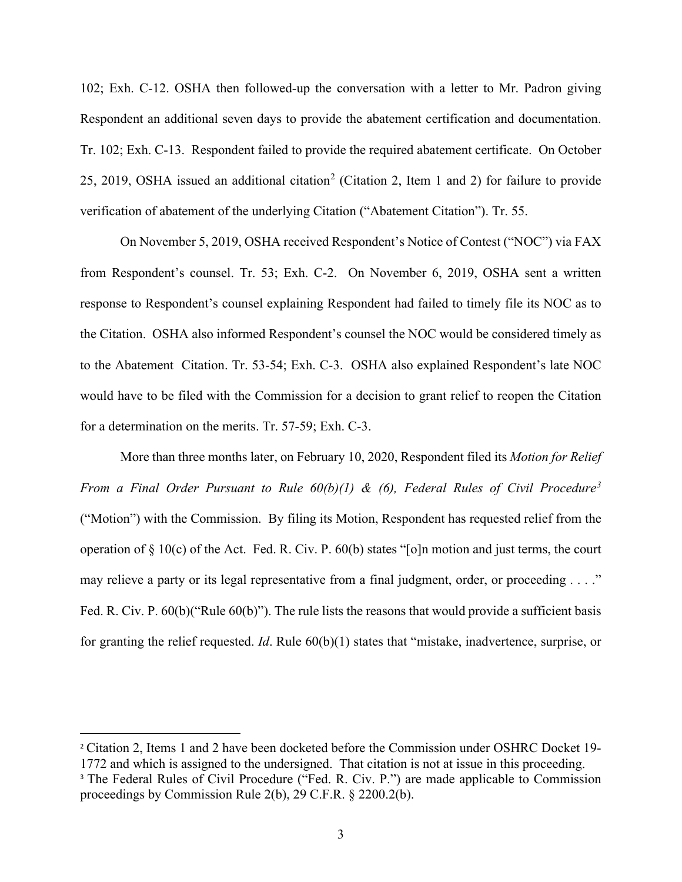102; Exh. C-12. OSHA then followed-up the conversation with a letter to Mr. Padron giving Respondent an additional seven days to provide the abatement certification and documentation. Tr. 102; Exh. C-13. Respondent failed to provide the required abatement certificate. On October [2](#page-2-0)5, 2019, OSHA issued an additional citation<sup>2</sup> (Citation 2, Item 1 and 2) for failure to provide verification of abatement of the underlying Citation ("Abatement Citation"). Tr. 55.

On November 5, 2019, OSHA received Respondent's Notice of Contest ("NOC") via FAX from Respondent's counsel. Tr. 53; Exh. C-2. On November 6, 2019, OSHA sent a written response to Respondent's counsel explaining Respondent had failed to timely file its NOC as to the Citation. OSHA also informed Respondent's counsel the NOC would be considered timely as to the Abatement Citation. Tr. 53-54; Exh. C-3. OSHA also explained Respondent's late NOC would have to be filed with the Commission for a decision to grant relief to reopen the Citation for a determination on the merits. Tr. 57-59; Exh. C-3.

More than three months later, on February 10, 2020, Respondent filed its *Motion for Relief From a Final Order Pursuant to Rule 60(b)(1) & (6), Federal Rules of Civil Procedure[3](#page-2-1)* ("Motion") with the Commission. By filing its Motion, Respondent has requested relief from the operation of § 10(c) of the Act. Fed. R. Civ. P. 60(b) states "[o]n motion and just terms, the court may relieve a party or its legal representative from a final judgment, order, or proceeding . . . ." Fed. R. Civ. P. 60(b)("Rule 60(b)"). The rule lists the reasons that would provide a sufficient basis for granting the relief requested. *Id*. Rule 60(b)(1) states that "mistake, inadvertence, surprise, or

<span id="page-2-0"></span><sup>&</sup>lt;sup>2</sup> Citation 2, Items 1 and 2 have been docketed before the Commission under OSHRC Docket 19-1772 and which is assigned to the undersigned. That citation is not at issue in this proceeding.

<span id="page-2-1"></span><sup>&</sup>lt;sup>3</sup> The Federal Rules of Civil Procedure ("Fed. R. Civ. P.") are made applicable to Commission proceedings by Commission Rule 2(b), 29 C.F.R. § 2200.2(b).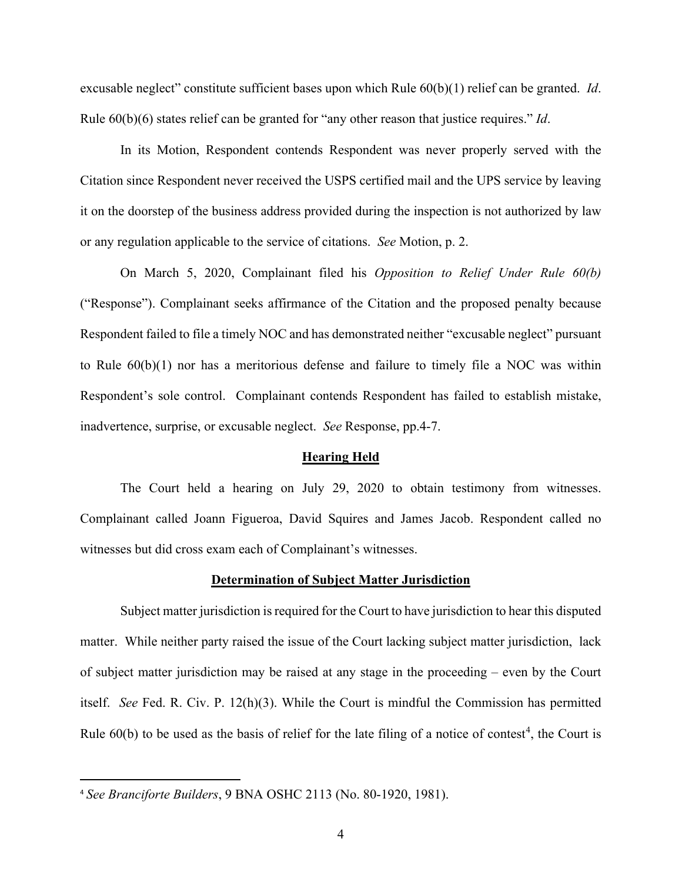excusable neglect" constitute sufficient bases upon which Rule 60(b)(1) relief can be granted. *Id*. Rule 60(b)(6) states relief can be granted for "any other reason that justice requires." *Id*.

In its Motion, Respondent contends Respondent was never properly served with the Citation since Respondent never received the USPS certified mail and the UPS service by leaving it on the doorstep of the business address provided during the inspection is not authorized by law or any regulation applicable to the service of citations. *See* Motion, p. 2.

On March 5, 2020, Complainant filed his *Opposition to Relief Under Rule 60(b)* ("Response"). Complainant seeks affirmance of the Citation and the proposed penalty because Respondent failed to file a timely NOC and has demonstrated neither "excusable neglect" pursuant to Rule 60(b)(1) nor has a meritorious defense and failure to timely file a NOC was within Respondent's sole control. Complainant contends Respondent has failed to establish mistake, inadvertence, surprise, or excusable neglect. *See* Response, pp.4-7.

#### **Hearing Held**

The Court held a hearing on July 29, 2020 to obtain testimony from witnesses. Complainant called Joann Figueroa, David Squires and James Jacob. Respondent called no witnesses but did cross exam each of Complainant's witnesses.

## **Determination of Subject Matter Jurisdiction**

 Subject matter jurisdiction is required for the Court to have jurisdiction to hear this disputed matter. While neither party raised the issue of the Court lacking subject matter jurisdiction, lack of subject matter jurisdiction may be raised at any stage in the proceeding – even by the Court itself. *See* Fed. R. Civ. P. 12(h)(3). While the Court is mindful the Commission has permitted Rule  $60(b)$  to be used as the basis of relief for the late filing of a notice of contest<sup>[4](#page-3-0)</sup>, the Court is

<span id="page-3-0"></span><sup>4</sup> *See Branciforte Builders*, 9 BNA OSHC 2113 (No. 80-1920, 1981).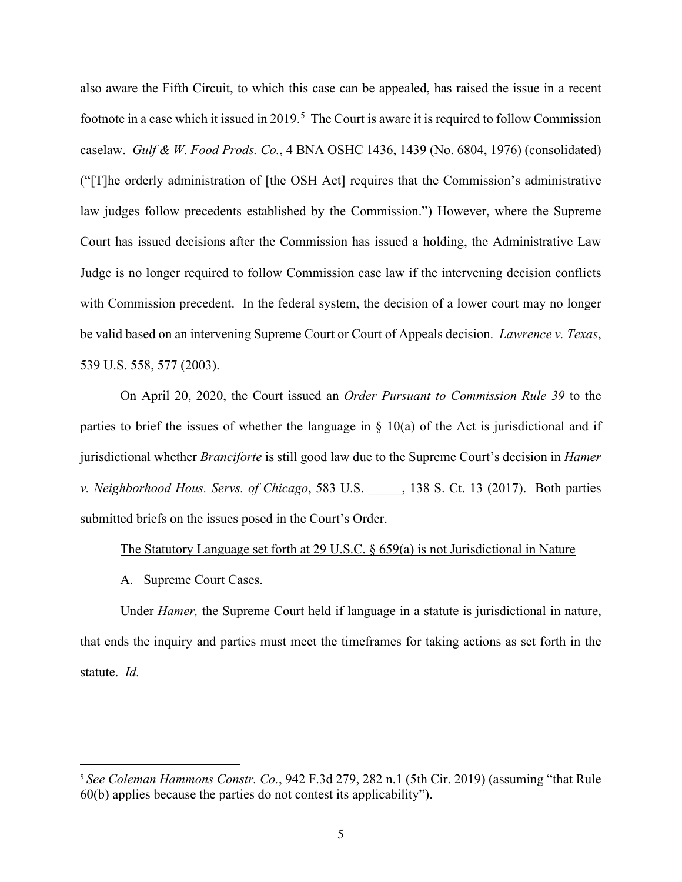also aware the Fifth Circuit, to which this case can be appealed, has raised the issue in a recent footnote in a case which it issued in 2019.<sup>[5](#page-4-0)</sup> The Court is aware it is required to follow Commission caselaw. *Gulf & W. Food Prods. Co.*, 4 BNA OSHC 1436, 1439 (No. 6804, 1976) (consolidated) ("[T]he orderly administration of [the OSH Act] requires that the Commission's administrative law judges follow precedents established by the Commission.") However, where the Supreme Court has issued decisions after the Commission has issued a holding, the Administrative Law Judge is no longer required to follow Commission case law if the intervening decision conflicts with Commission precedent. In the federal system, the decision of a lower court may no longer be valid based on an intervening Supreme Court or Court of Appeals decision. *Lawrence v. Texas*, 539 U.S. 558, 577 (2003).

On April 20, 2020, the Court issued an *Order Pursuant to Commission Rule 39* to the parties to brief the issues of whether the language in  $\S$  10(a) of the Act is jurisdictional and if jurisdictional whether *Branciforte* is still good law due to the Supreme Court's decision in *Hamer v. Neighborhood Hous. Servs. of Chicago*, 583 U.S. \_\_\_\_\_, 138 S. Ct. 13 (2017). Both parties submitted briefs on the issues posed in the Court's Order.

## The Statutory Language set forth at 29 U.S.C. § 659(a) is not Jurisdictional in Nature

A. Supreme Court Cases.

Under *Hamer,* the Supreme Court held if language in a statute is jurisdictional in nature, that ends the inquiry and parties must meet the timeframes for taking actions as set forth in the statute. *Id.*

<span id="page-4-0"></span><sup>5</sup> *See Coleman Hammons Constr. Co.*, 942 F.3d 279, 282 n.1 (5th Cir. 2019) (assuming "that Rule 60(b) applies because the parties do not contest its applicability").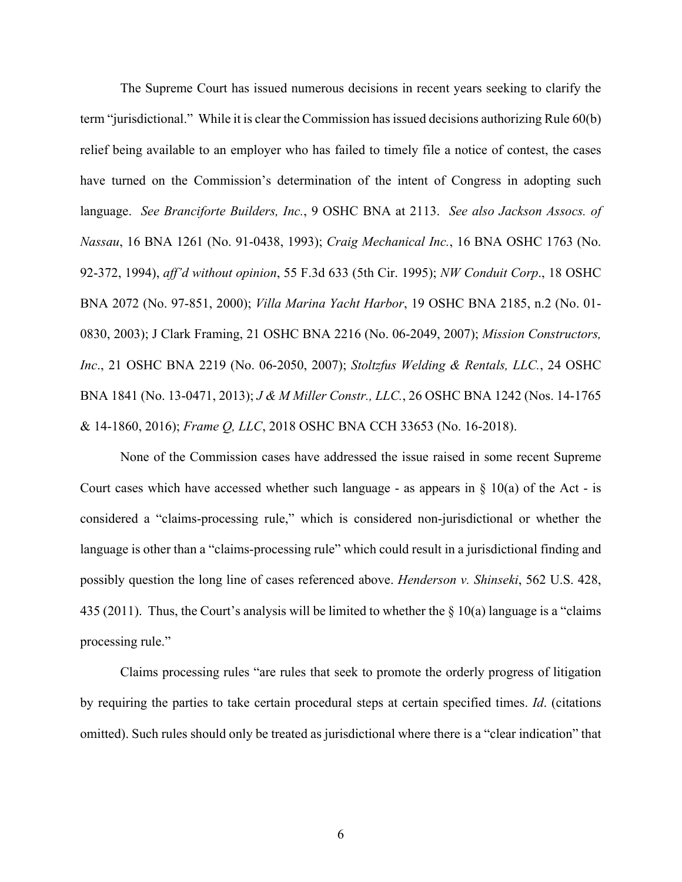The Supreme Court has issued numerous decisions in recent years seeking to clarify the term "jurisdictional." While it is clear the Commission has issued decisions authorizing Rule 60(b) relief being available to an employer who has failed to timely file a notice of contest, the cases have turned on the Commission's determination of the intent of Congress in adopting such language. *See Branciforte Builders, Inc.*, 9 OSHC BNA at 2113. *See also Jackson Assocs. of Nassau*, 16 BNA 1261 (No. 91-0438, 1993); *Craig Mechanical Inc.*, 16 BNA OSHC 1763 (No. 92-372, 1994), *aff'd without opinion*, 55 F.3d 633 (5th Cir. 1995); *NW Conduit Corp*., 18 OSHC BNA 2072 (No. 97-851, 2000); *Villa Marina Yacht Harbor*, 19 OSHC BNA 2185, n.2 (No. 01- 0830, 2003); J Clark Framing, 21 OSHC BNA 2216 (No. 06-2049, 2007); *Mission Constructors, Inc*., 21 OSHC BNA 2219 (No. 06-2050, 2007); *Stoltzfus Welding & Rentals, LLC.*, 24 OSHC BNA 1841 (No. 13-0471, 2013); *J & M Miller Constr., LLC.*, 26 OSHC BNA 1242 (Nos. 14-1765 & 14-1860, 2016); *Frame Q, LLC*, 2018 OSHC BNA CCH 33653 (No. 16-2018).

None of the Commission cases have addressed the issue raised in some recent Supreme Court cases which have accessed whether such language - as appears in  $\S$  10(a) of the Act - is considered a "claims-processing rule," which is considered non-jurisdictional or whether the language is other than a "claims-processing rule" which could result in a jurisdictional finding and possibly question the long line of cases referenced above. *Henderson v. Shinseki*, 562 U.S. 428, 435 (2011). Thus, the Court's analysis will be limited to whether the  $\S$  10(a) language is a "claims" processing rule."

Claims processing rules "are rules that seek to promote the orderly progress of litigation by requiring the parties to take certain procedural steps at certain specified times. *Id*. (citations omitted). Such rules should only be treated as jurisdictional where there is a "clear indication" that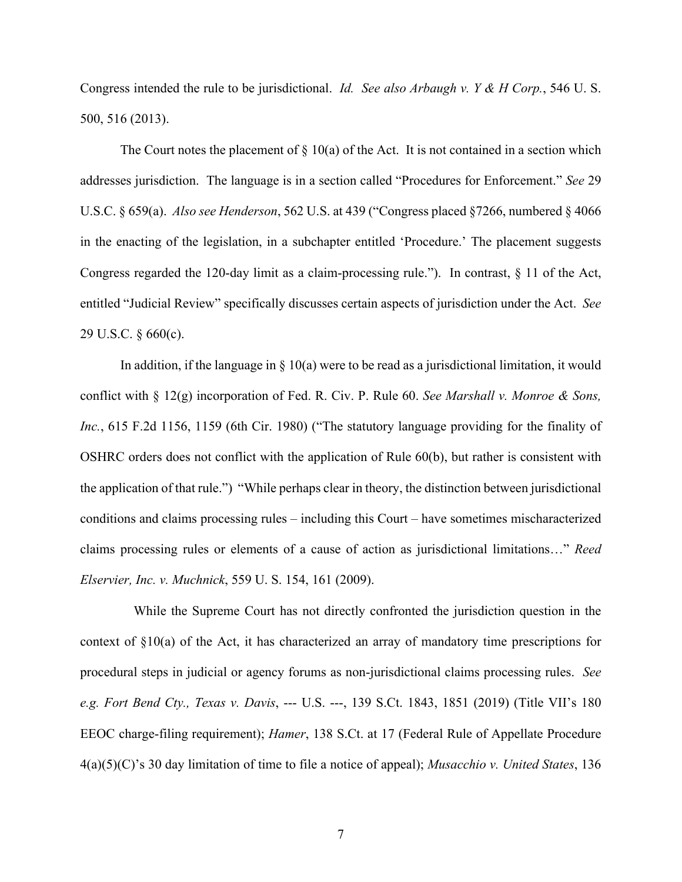Congress intended the rule to be jurisdictional. *Id. See also Arbaugh v. Y & H Corp.*, 546 U. S. 500, 516 (2013).

The Court notes the placement of  $\S 10(a)$  of the Act. It is not contained in a section which addresses jurisdiction. The language is in a section called "Procedures for Enforcement." *See* 29 U.S.C. § 659(a). *Also see Henderson*, 562 U.S. at 439 ("Congress placed §7266, numbered § 4066 in the enacting of the legislation, in a subchapter entitled 'Procedure.' The placement suggests Congress regarded the 120-day limit as a claim-processing rule."). In contrast,  $\S$  11 of the Act, entitled "Judicial Review" specifically discusses certain aspects of jurisdiction under the Act. *See* 29 U.S.C. § 660(c).

In addition, if the language in  $\S$  10(a) were to be read as a jurisdictional limitation, it would conflict with § 12(g) incorporation of Fed. R. Civ. P. Rule 60. *See Marshall v. Monroe & Sons, Inc.*, 615 F.2d 1156, 1159 (6th Cir. 1980) ("The statutory language providing for the finality of OSHRC orders does not conflict with the application of Rule 60(b), but rather is consistent with the application of that rule.") "While perhaps clear in theory, the distinction between jurisdictional conditions and claims processing rules – including this Court – have sometimes mischaracterized claims processing rules or elements of a cause of action as jurisdictional limitations…" *Reed Elservier, Inc. v. Muchnick*, 559 U. S. 154, 161 (2009).

 While the Supreme Court has not directly confronted the jurisdiction question in the context of §10(a) of the Act, it has characterized an array of mandatory time prescriptions for procedural steps in judicial or agency forums as non-jurisdictional claims processing rules. *See e.g. Fort Bend Cty., Texas v. Davis*, --- U.S. ---, 139 S.Ct. 1843, 1851 (2019) (Title VII's 180 EEOC charge-filing requirement); *Hamer*, 138 S.Ct. at 17 (Federal Rule of Appellate Procedure 4(a)(5)(C)'s 30 day limitation of time to file a notice of appeal); *Musacchio v. United States*, 136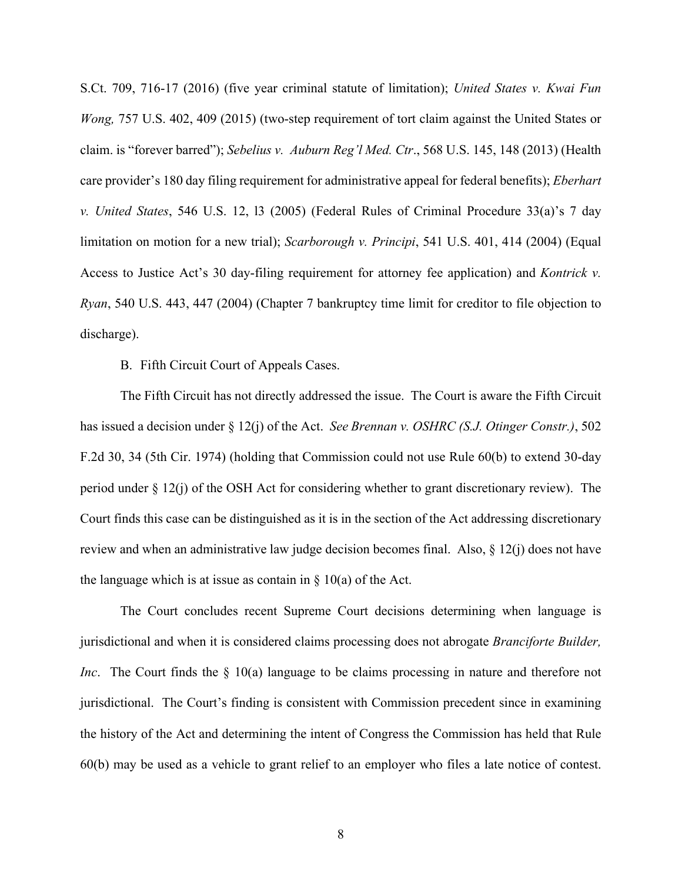S.Ct. 709, 716-17 (2016) (five year criminal statute of limitation); *United States v. Kwai Fun Wong,* 757 U.S. 402, 409 (2015) (two-step requirement of tort claim against the United States or claim. is "forever barred"); *Sebelius v. Auburn Reg'l Med. Ctr*., 568 U.S. 145, 148 (2013) (Health care provider's 180 day filing requirement for administrative appeal for federal benefits); *Eberhart v. United States*, 546 U.S. 12, l3 (2005) (Federal Rules of Criminal Procedure 33(a)'s 7 day limitation on motion for a new trial); *Scarborough v. Principi*, 541 U.S. 401, 414 (2004) (Equal Access to Justice Act's 30 day-filing requirement for attorney fee application) and *Kontrick v. Ryan*, 540 U.S. 443, 447 (2004) (Chapter 7 bankruptcy time limit for creditor to file objection to discharge).

B. Fifth Circuit Court of Appeals Cases.

The Fifth Circuit has not directly addressed the issue. The Court is aware the Fifth Circuit has issued a decision under § 12(j) of the Act. *See Brennan v. OSHRC (S.J. Otinger Constr.)*, 502 F.2d 30, 34 (5th Cir. 1974) (holding that Commission could not use Rule 60(b) to extend 30-day period under  $\S 12(i)$  of the OSH Act for considering whether to grant discretionary review). The Court finds this case can be distinguished as it is in the section of the Act addressing discretionary review and when an administrative law judge decision becomes final. Also, § 12(j) does not have the language which is at issue as contain in  $\S$  10(a) of the Act.

The Court concludes recent Supreme Court decisions determining when language is jurisdictional and when it is considered claims processing does not abrogate *Branciforte Builder, Inc*. The Court finds the § 10(a) language to be claims processing in nature and therefore not jurisdictional. The Court's finding is consistent with Commission precedent since in examining the history of the Act and determining the intent of Congress the Commission has held that Rule 60(b) may be used as a vehicle to grant relief to an employer who files a late notice of contest.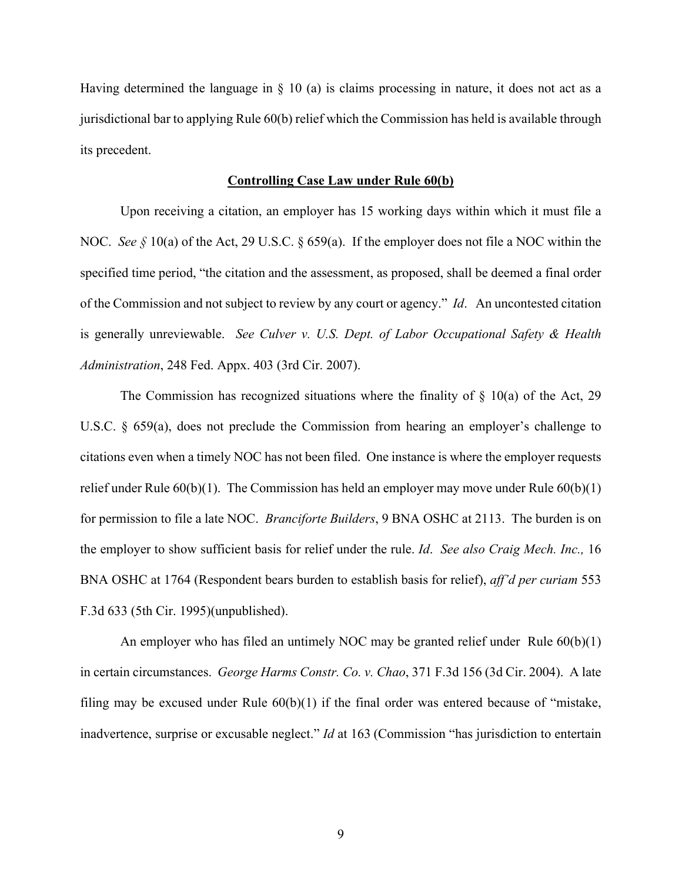Having determined the language in § 10 (a) is claims processing in nature, it does not act as a jurisdictional bar to applying Rule 60(b) relief which the Commission has held is available through its precedent.

### **Controlling Case Law under Rule 60(b)**

Upon receiving a citation, an employer has 15 working days within which it must file a NOC. *See §* 10(a) of the Act, 29 U.S.C. § 659(a). If the employer does not file a NOC within the specified time period, "the citation and the assessment, as proposed, shall be deemed a final order of the Commission and not subject to review by any court or agency." *Id*. An uncontested citation is generally unreviewable. *See Culver v. U.S. Dept. of Labor Occupational Safety & Health Administration*, 248 Fed. Appx. 403 (3rd Cir. 2007).

The Commission has recognized situations where the finality of  $\S$  10(a) of the Act, 29 U.S.C.  $\&$  659(a), does not preclude the Commission from hearing an employer's challenge to citations even when a timely NOC has not been filed. One instance is where the employer requests relief under Rule  $60(b)(1)$ . The Commission has held an employer may move under Rule  $60(b)(1)$ for permission to file a late NOC. *Branciforte Builders*, 9 BNA OSHC at 2113. The burden is on the employer to show sufficient basis for relief under the rule. *Id*. *See also Craig Mech. Inc.,* 16 BNA OSHC at 1764 (Respondent bears burden to establish basis for relief), *aff'd per curiam* 553 F.3d 633 (5th Cir. 1995)(unpublished).

An employer who has filed an untimely NOC may be granted relief under Rule  $60(b)(1)$ in certain circumstances. *George Harms Constr. Co. v. Chao*, 371 F.3d 156 (3d Cir. 2004). A late filing may be excused under Rule  $60(b)(1)$  if the final order was entered because of "mistake, inadvertence, surprise or excusable neglect." *Id* at 163 (Commission "has jurisdiction to entertain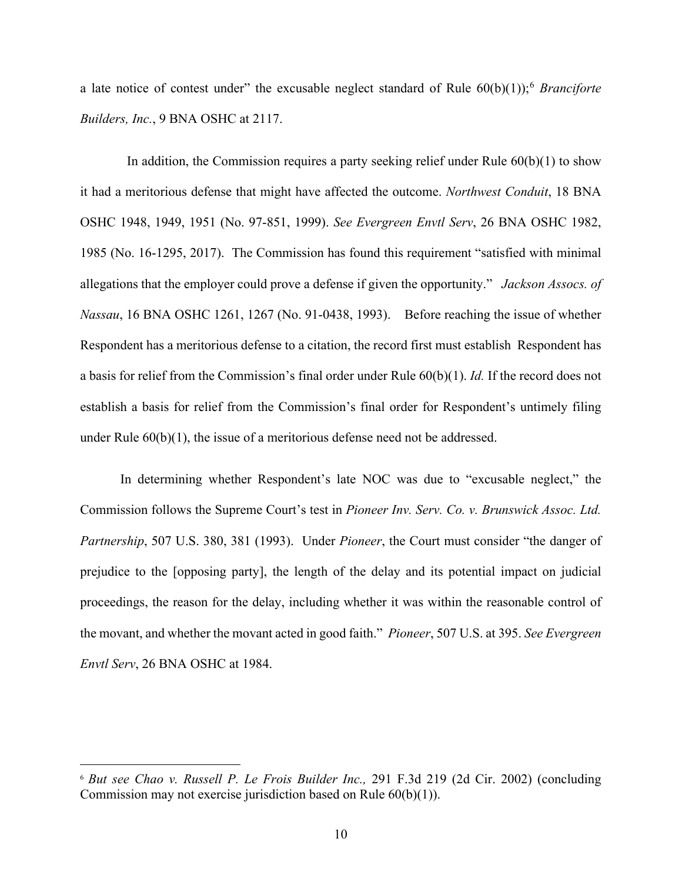a late notice of contest under" the excusable neglect standard of Rule 60(b)(1));[6](#page-9-0) *Branciforte Builders, Inc.*, 9 BNA OSHC at 2117.

 In addition, the Commission requires a party seeking relief under Rule 60(b)(1) to show it had a meritorious defense that might have affected the outcome. *Northwest Conduit*, 18 BNA OSHC 1948, 1949, 1951 (No. 97-851, 1999). *See Evergreen Envtl Serv*, 26 BNA OSHC 1982, 1985 (No. 16-1295, 2017). The Commission has found this requirement "satisfied with minimal allegations that the employer could prove a defense if given the opportunity." *Jackson Assocs. of Nassau*, 16 BNA OSHC 1261, 1267 (No. 91-0438, 1993). Before reaching the issue of whether Respondent has a meritorious defense to a citation, the record first must establish Respondent has a basis for relief from the Commission's final order under Rule 60(b)(1). *Id.* If the record does not establish a basis for relief from the Commission's final order for Respondent's untimely filing under Rule  $60(b)(1)$ , the issue of a meritorious defense need not be addressed.

 In determining whether Respondent's late NOC was due to "excusable neglect," the Commission follows the Supreme Court's test in *Pioneer Inv. Serv. Co. v. Brunswick Assoc. Ltd. Partnership*, 507 U.S. 380, 381 (1993). Under *Pioneer*, the Court must consider "the danger of prejudice to the [opposing party], the length of the delay and its potential impact on judicial proceedings, the reason for the delay, including whether it was within the reasonable control of the movant, and whether the movant acted in good faith." *Pioneer*, 507 U.S. at 395. *See Evergreen Envtl Serv*, 26 BNA OSHC at 1984.

<span id="page-9-0"></span><sup>6</sup> *But see Chao v. Russell P. Le Frois Builder Inc.,* 291 F.3d 219 (2d Cir. 2002) (concluding Commission may not exercise jurisdiction based on Rule 60(b)(1)).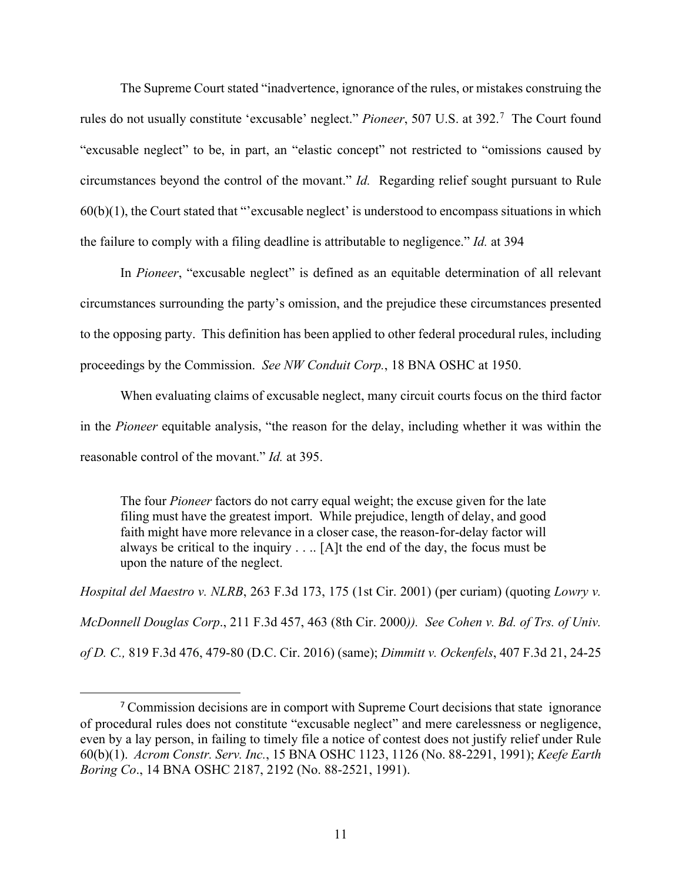The Supreme Court stated "inadvertence, ignorance of the rules, or mistakes construing the rules do not usually constitute 'excusable' neglect." *Pioneer*, 50[7](#page-10-0) U.S. at 392.<sup>7</sup> The Court found "excusable neglect" to be, in part, an "elastic concept" not restricted to "omissions caused by circumstances beyond the control of the movant." *Id.* Regarding relief sought pursuant to Rule 60(b)(1), the Court stated that "'excusable neglect' is understood to encompass situations in which the failure to comply with a filing deadline is attributable to negligence." *Id.* at 394

In *Pioneer*, "excusable neglect" is defined as an equitable determination of all relevant circumstances surrounding the party's omission, and the prejudice these circumstances presented to the opposing party. This definition has been applied to other federal procedural rules, including proceedings by the Commission. *See NW Conduit Corp.*, 18 BNA OSHC at 1950.

When evaluating claims of excusable neglect, many circuit courts focus on the third factor in the *Pioneer* equitable analysis, "the reason for the delay, including whether it was within the reasonable control of the movant." *Id.* at 395.

The four *Pioneer* factors do not carry equal weight; the excuse given for the late filing must have the greatest import. While prejudice, length of delay, and good faith might have more relevance in a closer case, the reason-for-delay factor will always be critical to the inquiry  $\dots$  [A]t the end of the day, the focus must be upon the nature of the neglect.

*Hospital del Maestro v. NLRB*, 263 F.3d 173, 175 (1st Cir. 2001) (per curiam) (quoting *Lowry v. McDonnell Douglas Corp*., 211 F.3d 457, 463 (8th Cir. 2000*)). See Cohen v. Bd. of Trs. of Univ. of D. C.,* 819 F.3d 476, 479-80 (D.C. Cir. 2016) (same); *Dimmitt v. Ockenfels*, 407 F.3d 21, 24-25

<span id="page-10-0"></span><sup>&</sup>lt;sup>7</sup> Commission decisions are in comport with Supreme Court decisions that state ignorance of procedural rules does not constitute "excusable neglect" and mere carelessness or negligence, even by a lay person, in failing to timely file a notice of contest does not justify relief under Rule 60(b)(1). *Acrom Constr. Serv. Inc.*, 15 BNA OSHC 1123, 1126 (No. 88-2291, 1991); *Keefe Earth Boring Co*., 14 BNA OSHC 2187, 2192 (No. 88-2521, 1991).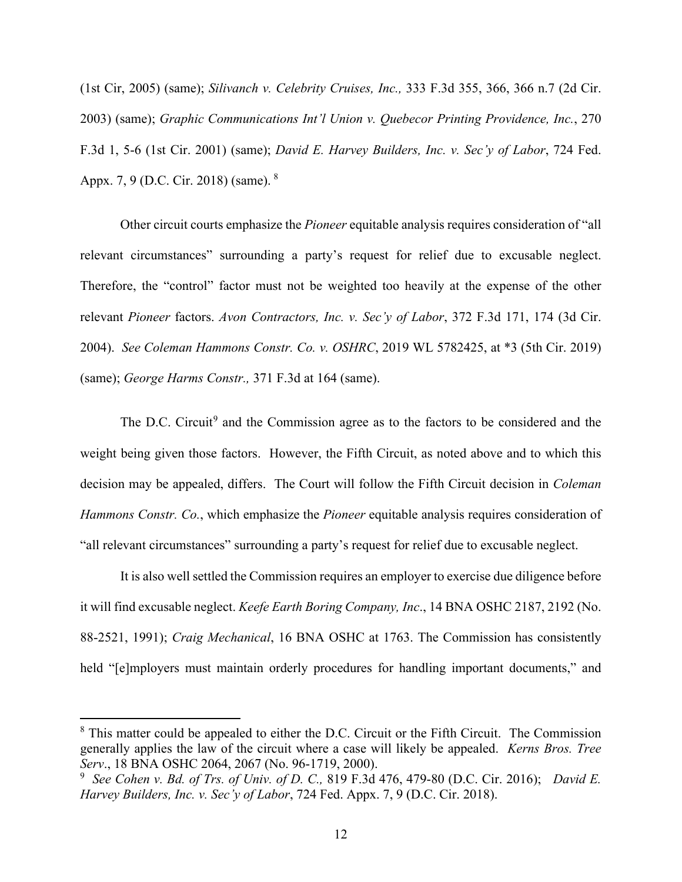(1st Cir, 2005) (same); *Silivanch v. Celebrity Cruises, Inc.,* 333 F.3d 355, 366, 366 n.7 (2d Cir. 2003) (same); *Graphic Communications Int'l Union v. Quebecor Printing Providence, Inc.*, 270 F.3d 1, 5-6 (1st Cir. 2001) (same); *David E. Harvey Builders, Inc. v. Sec'y of Labor*, 724 Fed. Appx. 7, 9 (D.C. Cir. 201[8](#page-11-0)) (same). <sup>8</sup>

Other circuit courts emphasize the *Pioneer* equitable analysis requires consideration of "all relevant circumstances" surrounding a party's request for relief due to excusable neglect. Therefore, the "control" factor must not be weighted too heavily at the expense of the other relevant *Pioneer* factors. *Avon Contractors, Inc. v. Sec'y of Labor*, 372 F.3d 171, 174 (3d Cir. 2004). *See Coleman Hammons Constr. Co. v. OSHRC*, 2019 WL 5782425, at \*3 (5th Cir. 2019) (same); *George Harms Constr.,* 371 F.3d at 164 (same).

The D.C. Circuit<sup>[9](#page-11-1)</sup> and the Commission agree as to the factors to be considered and the weight being given those factors. However, the Fifth Circuit, as noted above and to which this decision may be appealed, differs. The Court will follow the Fifth Circuit decision in *Coleman Hammons Constr. Co.*, which emphasize the *Pioneer* equitable analysis requires consideration of "all relevant circumstances" surrounding a party's request for relief due to excusable neglect.

It is also well settled the Commission requires an employer to exercise due diligence before it will find excusable neglect. *Keefe Earth Boring Company, Inc*., 14 BNA OSHC 2187, 2192 (No. 88-2521, 1991); *Craig Mechanical*, 16 BNA OSHC at 1763. The Commission has consistently held "[e]mployers must maintain orderly procedures for handling important documents," and

<span id="page-11-0"></span><sup>&</sup>lt;sup>8</sup> This matter could be appealed to either the D.C. Circuit or the Fifth Circuit. The Commission generally applies the law of the circuit where a case will likely be appealed. *Kerns Bros. Tree Serv*., 18 BNA OSHC 2064, 2067 (No. 96-1719, 2000).

<span id="page-11-1"></span><sup>9</sup> *See Cohen v. Bd. of Trs. of Univ. of D. C.,* 819 F.3d 476, 479-80 (D.C. Cir. 2016); *David E. Harvey Builders, Inc. v. Sec'y of Labor*, 724 Fed. Appx. 7, 9 (D.C. Cir. 2018).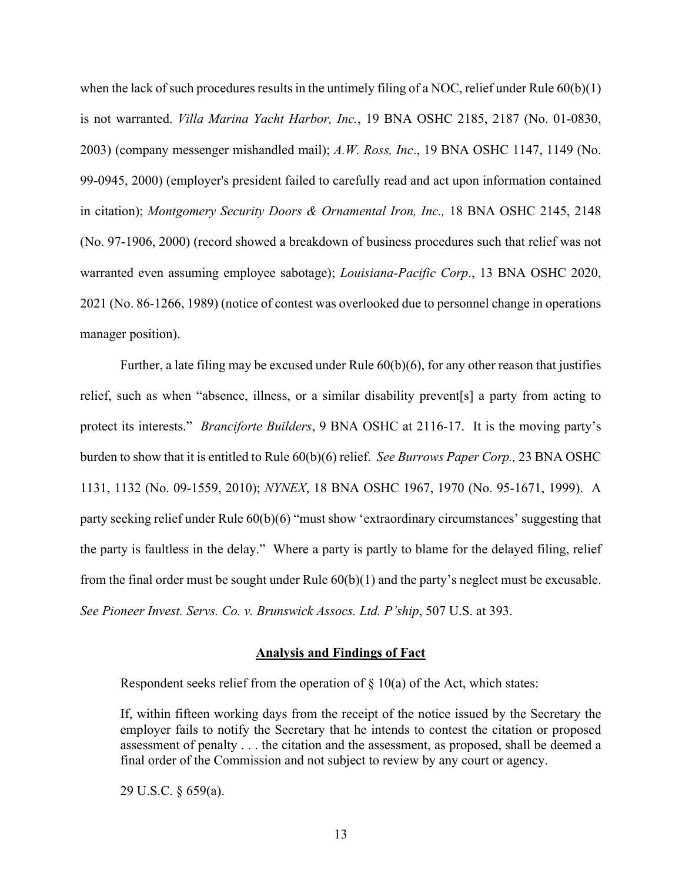when the lack of such procedures results in the untimely filing of a NOC, relief under Rule  $60(b)(1)$ is not warranted. *Villa Marina Yacht Harbor, Inc.*, 19 BNA OSHC 2185, 2187 (No. 01-0830, 2003) (company messenger mishandled mail); *A.W. Ross, Inc*., 19 BNA OSHC 1147, 1149 (No. 99-0945, 2000) (employer's president failed to carefully read and act upon information contained in citation); *Montgomery Security Doors & Ornamental Iron, Inc.,* 18 BNA OSHC 2145, 2148 (No. 97-1906, 2000) (record showed a breakdown of business procedures such that relief was not warranted even assuming employee sabotage); *Louisiana-Pacific Corp*., 13 BNA OSHC 2020, 2021 (No. 86-1266, 1989) (notice of contest was overlooked due to personnel change in operations manager position).

Further, a late filing may be excused under Rule 60(b)(6), for any other reason that justifies relief, such as when "absence, illness, or a similar disability prevent[s] a party from acting to protect its interests." *Branciforte Builders*, 9 BNA OSHC at 2116-17. It is the moving party's burden to show that it is entitled to Rule 60(b)(6) relief. *See Burrows Paper Corp.,* 23 BNA OSHC 1131, 1132 (No. 09-1559, 2010); *NYNEX*, 18 BNA OSHC 1967, 1970 (No. 95-1671, 1999). A party seeking relief under Rule 60(b)(6) "must show 'extraordinary circumstances' suggesting that the party is faultless in the delay." Where a party is partly to blame for the delayed filing, relief from the final order must be sought under Rule 60(b)(1) and the party's neglect must be excusable. *See Pioneer Invest. Servs. Co. v. Brunswick Assocs. Ltd. P'ship*, 507 U.S. at 393.

#### **Analysis and Findings of Fact**

Respondent seeks relief from the operation of  $\S$  10(a) of the Act, which states:

If, within fifteen working days from the receipt of the notice issued by the Secretary the employer fails to notify the Secretary that he intends to contest the citation or proposed assessment of penalty . . . the citation and the assessment, as proposed, shall be deemed a final order of the Commission and not subject to review by any court or agency.

29 U.S.C. § 659(a).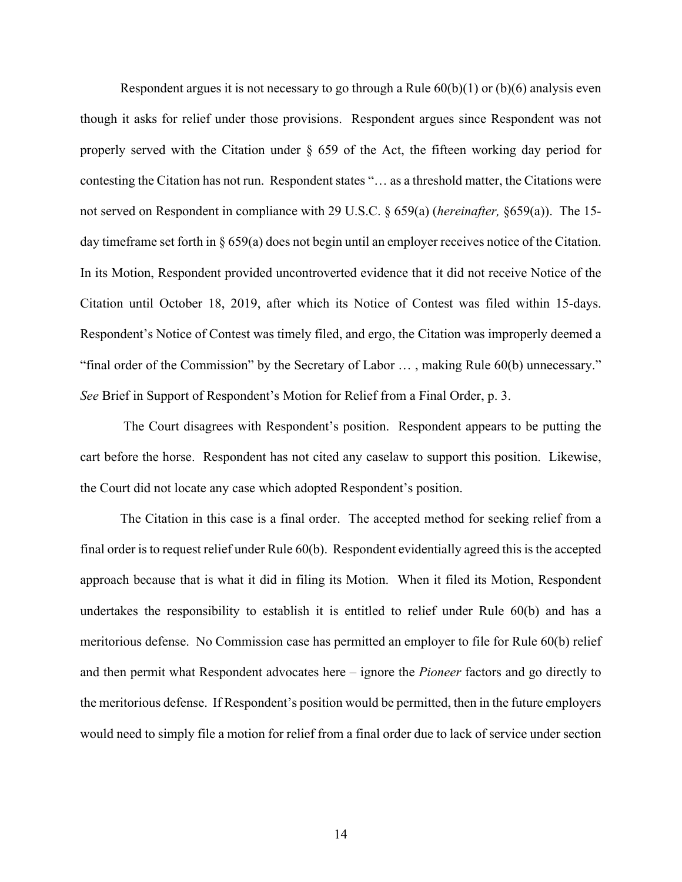Respondent argues it is not necessary to go through a Rule  $60(b)(1)$  or  $(b)(6)$  analysis even though it asks for relief under those provisions. Respondent argues since Respondent was not properly served with the Citation under  $\S$  659 of the Act, the fifteen working day period for contesting the Citation has not run. Respondent states "… as a threshold matter, the Citations were not served on Respondent in compliance with 29 U.S.C. § 659(a) (*hereinafter,* §659(a)). The 15 day timeframe set forth in § 659(a) does not begin until an employer receives notice of the Citation. In its Motion, Respondent provided uncontroverted evidence that it did not receive Notice of the Citation until October 18, 2019, after which its Notice of Contest was filed within 15-days. Respondent's Notice of Contest was timely filed, and ergo, the Citation was improperly deemed a "final order of the Commission" by the Secretary of Labor … , making Rule 60(b) unnecessary." *See* Brief in Support of Respondent's Motion for Relief from a Final Order, p. 3.

The Court disagrees with Respondent's position. Respondent appears to be putting the cart before the horse. Respondent has not cited any caselaw to support this position. Likewise, the Court did not locate any case which adopted Respondent's position.

The Citation in this case is a final order. The accepted method for seeking relief from a final order is to request relief under Rule 60(b). Respondent evidentially agreed this is the accepted approach because that is what it did in filing its Motion. When it filed its Motion, Respondent undertakes the responsibility to establish it is entitled to relief under Rule 60(b) and has a meritorious defense. No Commission case has permitted an employer to file for Rule 60(b) relief and then permit what Respondent advocates here – ignore the *Pioneer* factors and go directly to the meritorious defense. If Respondent's position would be permitted, then in the future employers would need to simply file a motion for relief from a final order due to lack of service under section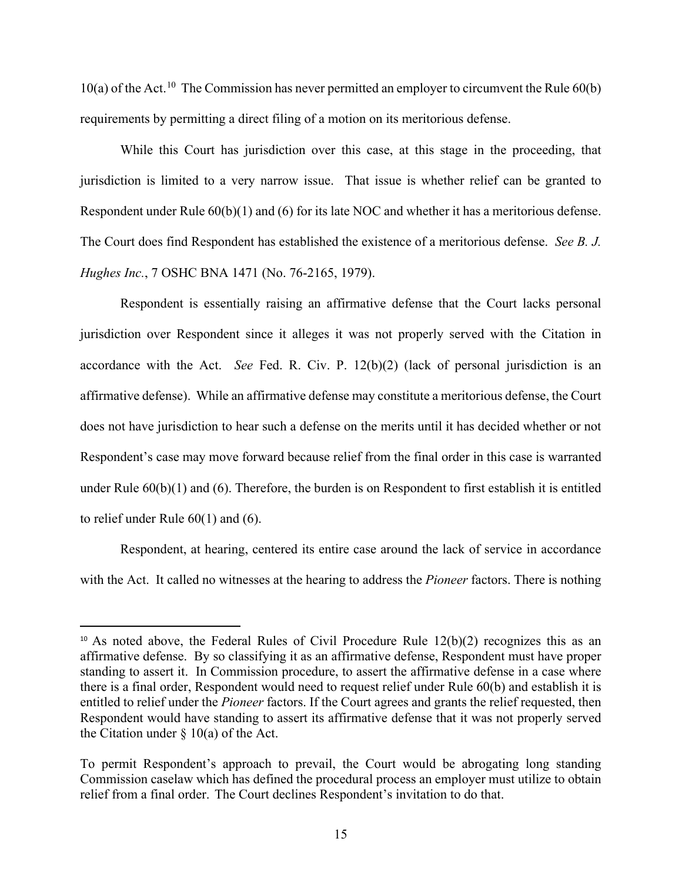$10(a)$  of the Act.<sup>10</sup> The Commission has never permitted an employer to circumvent the Rule  $60(b)$ requirements by permitting a direct filing of a motion on its meritorious defense.

While this Court has jurisdiction over this case, at this stage in the proceeding, that jurisdiction is limited to a very narrow issue. That issue is whether relief can be granted to Respondent under Rule 60(b)(1) and (6) for its late NOC and whether it has a meritorious defense. The Court does find Respondent has established the existence of a meritorious defense. *See B. J. Hughes Inc.*, 7 OSHC BNA 1471 (No. 76-2165, 1979).

Respondent is essentially raising an affirmative defense that the Court lacks personal jurisdiction over Respondent since it alleges it was not properly served with the Citation in accordance with the Act. *See* Fed. R. Civ. P. 12(b)(2) (lack of personal jurisdiction is an affirmative defense). While an affirmative defense may constitute a meritorious defense, the Court does not have jurisdiction to hear such a defense on the merits until it has decided whether or not Respondent's case may move forward because relief from the final order in this case is warranted under Rule 60(b)(1) and (6). Therefore, the burden is on Respondent to first establish it is entitled to relief under Rule 60(1) and (6).

Respondent, at hearing, centered its entire case around the lack of service in accordance with the Act. It called no witnesses at the hearing to address the *Pioneer* factors. There is nothing

<span id="page-14-0"></span><sup>&</sup>lt;sup>10</sup> As noted above, the Federal Rules of Civil Procedure Rule  $12(b)(2)$  recognizes this as an affirmative defense. By so classifying it as an affirmative defense, Respondent must have proper standing to assert it. In Commission procedure, to assert the affirmative defense in a case where there is a final order, Respondent would need to request relief under Rule 60(b) and establish it is entitled to relief under the *Pioneer* factors. If the Court agrees and grants the relief requested, then Respondent would have standing to assert its affirmative defense that it was not properly served the Citation under  $\S$  10(a) of the Act.

To permit Respondent's approach to prevail, the Court would be abrogating long standing Commission caselaw which has defined the procedural process an employer must utilize to obtain relief from a final order. The Court declines Respondent's invitation to do that.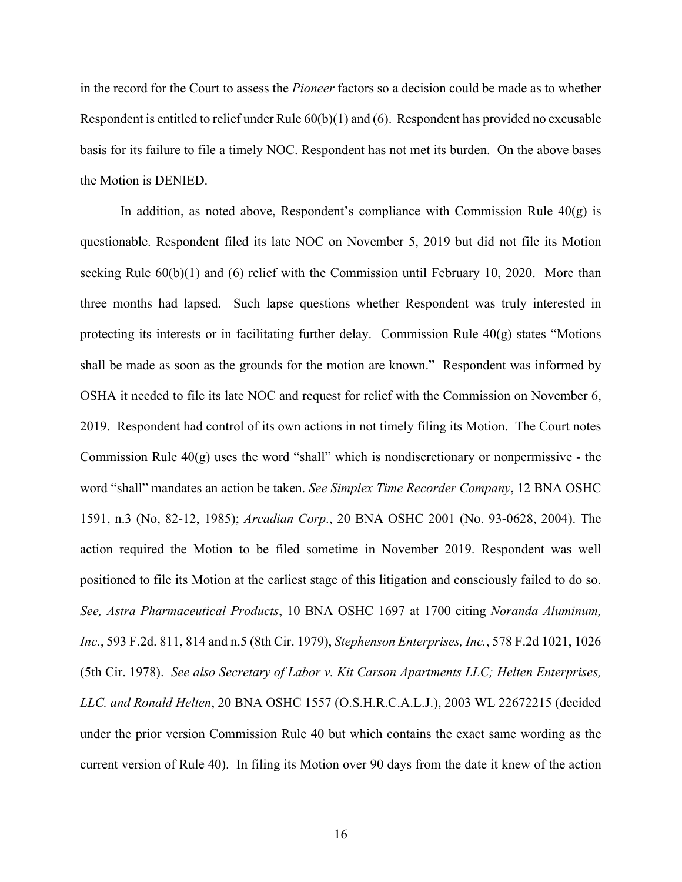in the record for the Court to assess the *Pioneer* factors so a decision could be made as to whether Respondent is entitled to relief under Rule  $60(b)(1)$  and  $(6)$ . Respondent has provided no excusable basis for its failure to file a timely NOC. Respondent has not met its burden. On the above bases the Motion is DENIED.

In addition, as noted above, Respondent's compliance with Commission Rule  $40(g)$  is questionable. Respondent filed its late NOC on November 5, 2019 but did not file its Motion seeking Rule  $60(b)(1)$  and  $(6)$  relief with the Commission until February 10, 2020. More than three months had lapsed. Such lapse questions whether Respondent was truly interested in protecting its interests or in facilitating further delay. Commission Rule  $40(g)$  states "Motions" shall be made as soon as the grounds for the motion are known." Respondent was informed by OSHA it needed to file its late NOC and request for relief with the Commission on November 6, 2019. Respondent had control of its own actions in not timely filing its Motion. The Court notes Commission Rule 40(g) uses the word "shall" which is nondiscretionary or nonpermissive - the word "shall" mandates an action be taken. *See Simplex Time Recorder Company*, 12 BNA OSHC 1591, n.3 (No, 82-12, 1985); *Arcadian Corp*., 20 BNA OSHC 2001 (No. 93-0628, 2004). The action required the Motion to be filed sometime in November 2019. Respondent was well positioned to file its Motion at the earliest stage of this litigation and consciously failed to do so. *See, Astra Pharmaceutical Products*, 10 BNA OSHC 1697 at 1700 citing *Noranda Aluminum, Inc.*, 593 F.2d. 811, 814 and n.5 (8th Cir. 1979), *Stephenson Enterprises, Inc.*, 578 F.2d 1021, 1026 (5th Cir. 1978). *See also Secretary of Labor v. Kit Carson Apartments LLC; Helten Enterprises, LLC. and Ronald Helten*, 20 BNA OSHC 1557 (O.S.H.R.C.A.L.J.), 2003 WL 22672215 (decided under the prior version Commission Rule 40 but which contains the exact same wording as the current version of Rule 40). In filing its Motion over 90 days from the date it knew of the action